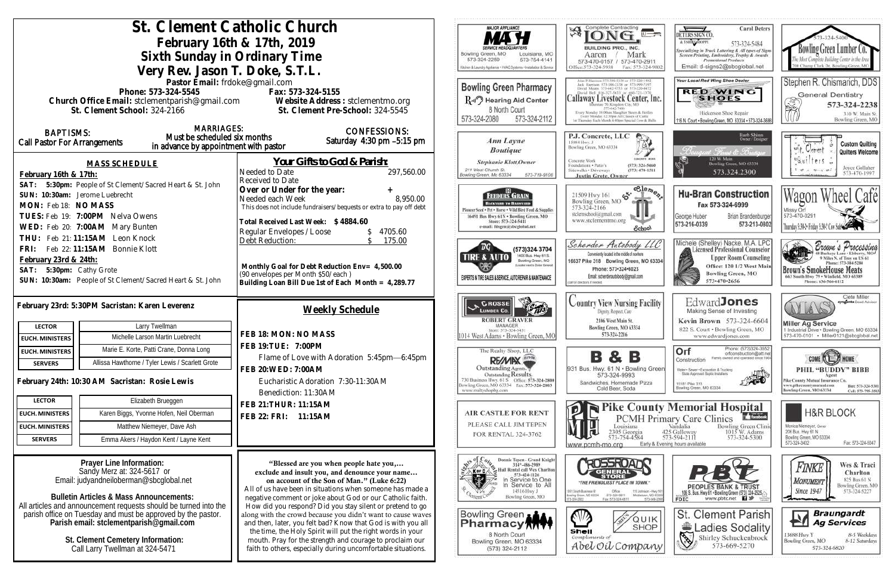|                                                                      | St. Clement Catholic Church                                                                             | <b>MAJOR APPLIANCE</b>                                                                                                   | Complete Contracting<br>谘                                                                       |                                                                                                                                                 |
|----------------------------------------------------------------------|---------------------------------------------------------------------------------------------------------|--------------------------------------------------------------------------------------------------------------------------|-------------------------------------------------------------------------------------------------|-------------------------------------------------------------------------------------------------------------------------------------------------|
|                                                                      | February 16th & 17th, 2019                                                                              |                                                                                                                          |                                                                                                 |                                                                                                                                                 |
|                                                                      | Sixth Sunday in Ordinary Time                                                                           | Bowling Green, MO<br>Louisiana, MO                                                                                       | <b>BUILDING PRO., INC.</b><br>Mark<br>Aaron                                                     |                                                                                                                                                 |
|                                                                      | Very Rev. Jason T. Doke, S.T.L.                                                                         | 573-324-2259<br>573-754-4141<br>Kitchen & Laundry Appliance + HVAC Systems + Installation & Service                      | 573-470-0157 / 573-470-2911<br>Office:573-324-5958<br>Fax: 573-324-9                            |                                                                                                                                                 |
|                                                                      | Pastor Email: frdoke@gmail.com                                                                          |                                                                                                                          |                                                                                                 |                                                                                                                                                 |
|                                                                      | Phone: 573-324-5545                                                                                     | Fax: 573-324-5155                                                                                                        | <b>Bowling Green Pharmacy</b>                                                                   | Jack Harrison 573-386-2138 or 573-990-719<br>David Means 573-642-9755 or 573-220-047<br>Callaway Livestock Center, In                           |
|                                                                      |                                                                                                         | Church Office Email: stclementparish@gmail.com Website Address : stclementmo.org                                         | R-II <sup>7</sup> Hearing Aid Center                                                            | filternate 70, Kingdon City, MO<br>573-643-7486                                                                                                 |
|                                                                      | St. Clement School: 324-2166                                                                            | St. Clement Pre-School: 324-5545                                                                                         | 8 North Court<br>573-324-2080<br>573-324-2112                                                   | Every Monday 10:00ain Slaughor Steers & Heifen<br>Every Monday 12:30pm All Classes of Cattle<br>1 = Thunday Each Munth 6 00pm Special Cow & Its |
| <b>BAPTISMS:</b>                                                     | <b>MARRIAGES:</b>                                                                                       | <b>CONFESSIONS:</b>                                                                                                      |                                                                                                 |                                                                                                                                                 |
| <b>Call Pastor For Arrangements</b>                                  | Must be scheduled six months                                                                            | Saturday $4:30$ pm $-5:15$ pm                                                                                            | Ann Layne                                                                                       | P.J. Concrete, LLC<br>15084 Hwy. J                                                                                                              |
|                                                                      | in advance by appointment with pastor                                                                   |                                                                                                                          | <b>Boutique</b>                                                                                 | Bowling Green, MO 63334                                                                                                                         |
|                                                                      | <b>MASS SCHEDULE</b>                                                                                    | <u>Your Gifts to God &amp; Parish:</u>                                                                                   | <b>Stephanie Klott, Owner</b>                                                                   | Concrete Work<br>Foundations . Patio's<br>(573) 324-5666                                                                                        |
| February 16th & 17th:                                                |                                                                                                         | Needed to Date<br>297,560.00<br>Received to Date                                                                         | 211 West Church St.<br>Bowling Green, Mo 63334<br>573-719-9108                                  | $(573)$ 470-1511<br>Sidewalks . Driveways<br><b>Justin Grote, Owner</b>                                                                         |
| SAT:                                                                 | 5:30pm: People of St Clement/Sacred Heart & St. John                                                    | Over or Under for the year:                                                                                              |                                                                                                 | $\epsilon$ elem                                                                                                                                 |
| SUN: 10:30am: Jerome Luebrecht                                       |                                                                                                         | 8,950.00<br>Needed each Week                                                                                             | FEEDERS GRAIN<br>BACKYARD TO BARNYARD                                                           | 55.<br>21509 Hwy 161<br>Bowling Green, MO                                                                                                       |
| MON: Feb 18: NO MASS                                                 |                                                                                                         | This does not include fundraisers/bequests or extra to pay off debt                                                      | Pioneer Seed . Pet . Horse . Wild Bird Feed & Supplies<br>16491 Bus Hwy 61N . Bowling Green, MO | 573-324-2166<br>stelemschool@gmail.com                                                                                                          |
| TUES: Feb 19: 7:00PM Nelva Owens<br>WED: Feb 20: 7:00AM Mary Bunten  |                                                                                                         | Total Received Last Week: \$4884.60                                                                                      | Store: 573-324-5411<br>e-mail: fdsgrn@sbcglobal.net                                             | www.stclementmo.org<br>School.                                                                                                                  |
| THU: Feb 21:11:15AM Leon Knock                                       |                                                                                                         | Regular Envelopes / Loose<br>4705.60<br>Debt Reduction:<br>175.00                                                        |                                                                                                 |                                                                                                                                                 |
| FRI:                                                                 | Feb 22: 11:15AM Bonnie Klott                                                                            |                                                                                                                          | (573)324 3704                                                                                   | Scherder Autobody LL                                                                                                                            |
| February 23rd & 24th:                                                |                                                                                                         |                                                                                                                          | 1400 Bus. Hwy 61 S.<br>TIRE & AUTO<br>Bowling Green, MO<br>Located next to Dollar General       | Conveniently located in the middle of nowhere<br>16637 Pike 318 Bowling Green, MO 63                                                            |
| SAT: 5:30pm: Cathy Grote                                             |                                                                                                         | Monthly Goal for Debt Reduction Env= 4,500.00<br>(90 envelopes per Month \$50/each)                                      | EXPERTS IN TIRE SALES & SERVICE, AUTO REPAIR & MAINTENANCE                                      | Phone: 573-324-6023<br>Email: scherderautobody@gmail.com                                                                                        |
|                                                                      | SUN: 10:30am: People of St Clement/Sacred Heart & St. John                                              | Building Loan Bill Due 1st of Each Month = 4,289.77                                                                      |                                                                                                 | call for directorys if needed a                                                                                                                 |
|                                                                      |                                                                                                         |                                                                                                                          | CROSSE                                                                                          | <b>Country View Nursing Facili</b>                                                                                                              |
|                                                                      | February 23rd: 5:30PM Sacristan: Karen Leverenz                                                         | <b>Weekly Schedule</b>                                                                                                   | <b>LUMBER CO.</b>                                                                               | Digitity, Respect, Care                                                                                                                         |
| <b>LECTOR</b>                                                        | Larry Twellman                                                                                          |                                                                                                                          | <b>ROBERT GRAVER</b><br>MANAGER                                                                 | 2106 West Main St.<br>Bowling Green, MO 63334                                                                                                   |
| <b>EUCH. MINISTERS</b>                                               | Michelle Larson Martin Luebrecht                                                                        | FEB 18: MON: NO MASS                                                                                                     | Store: 573-324-5431<br>1014 West Adams . Bowling Green, MO                                      | 573-324-2216                                                                                                                                    |
| <b>EUCH. MINISTERS</b>                                               | Marie E. Korte, Patti Crane, Donna Long                                                                 | FEB 19: TUE: 7:00PM                                                                                                      | The Realty Shop, LLC                                                                            |                                                                                                                                                 |
| <b>SERVERS</b>                                                       | Allissa Hawthorne / Tyler Lewis / Scarlett Grote                                                        | Flame of Love with Adoration 5:45pm-6:45pm                                                                               | <b>REAMINX</b>                                                                                  |                                                                                                                                                 |
|                                                                      |                                                                                                         | FEB 20: WED: 7:00AM                                                                                                      | Outstanding Agents.<br>Outstanding Results.                                                     | 931 Bus. Hwy. 61 N . Bowling Gr<br>573-324-9993                                                                                                 |
|                                                                      | February 24th: 10:30 AM Sacristan: Rosie Lewis                                                          | Eucharistic Adoration 7:30-11:30AM                                                                                       | 730 Business Hwy. 61 S Office: 573-324-2800<br>Bowling Green, MO 63334 Fax: 573-324-2803        | Sandwiches, Homemade Pizza<br>Cold Beer, Soda                                                                                                   |
| <b>LECTOR</b>                                                        | Elizabeth Brueggen                                                                                      | Benediction: 11:30AM                                                                                                     | www.realtyshopbg.com                                                                            |                                                                                                                                                 |
| <b>EUCH. MINISTERS</b>                                               | Karen Biggs, Yvonne Hofen, Neil Oberman                                                                 | FEB 21: THUR: 11:15AM                                                                                                    | <b>AIR CASTLE FOR RENT</b>                                                                      | <b>Pike Coun</b>                                                                                                                                |
| <b>EUCH. MINISTERS</b>                                               | Matthew Niemeyer, Dave Ash                                                                              | FEB 22: FRI: 11:15AM                                                                                                     | PLEASE CALL JIM TEPEN                                                                           | PCMH PI<br>Louisiana                                                                                                                            |
| <b>SERVERS</b>                                                       | Emma Akers / Haydon Kent / Layne Kent                                                                   |                                                                                                                          | FOR RENTAL 324-3762                                                                             | 2305 Georgia<br>573-754-4584                                                                                                                    |
|                                                                      |                                                                                                         |                                                                                                                          |                                                                                                 | Early &<br>www.pcmh-mo.org                                                                                                                      |
|                                                                      | Prayer Line Information:                                                                                | "Blessed are you when people hate you,                                                                                   | Donnie Tepen - Grand Knight<br>314^-486-2989                                                    | <b>ROSSROAN?</b>                                                                                                                                |
|                                                                      | Sandy Merz at: 324-5617 or                                                                              | exclude and insult you, and denounce your name                                                                           | Kore<br>Hall Rental call Wes Chariton<br>573-424-1126<br>In Service to One                      | STORE                                                                                                                                           |
|                                                                      | Email: judyandneiloberman@sbcglobal.net                                                                 | on account of the Son of Man." (Luke 6:22)<br>All of us have been in situations when someone has made a                  | In Service to All<br>14516 Hwy J                                                                | "THE FRIENDLIEST PLACE IN TOWN."<br>10 Johnson - Hy                                                                                             |
|                                                                      | <b>Bulletin Articles &amp; Mass Announcements:</b>                                                      | negative comment or joke about God or our Catholic faith.                                                                | Bowling Green, MO<br><b>Chemi</b> U                                                             | 1011, Soich Business 61<br>Bowling Green, MO 83334<br>373-326-6811<br>Mitfaltown, MD<br>3-334-2921<br>Fax: 573-324-6811                         |
|                                                                      | All articles and announcement requests should be turned into the                                        | How did you respond? Did you stay silent or pretend to go<br>along with the crowd because you didn't want to cause waves | Bowling Green A                                                                                 |                                                                                                                                                 |
|                                                                      | parish office on Tuesday and must be approved by the pastor.<br>Parish email: stclementparish@gmail.com | and then, later, you felt bad? Know that God is with you all                                                             | Pharmacy M                                                                                      | QUIP<br><b>SHOF</b>                                                                                                                             |
|                                                                      |                                                                                                         | the time, the Holy Spirit will put the right words in your                                                               | 8 North Court                                                                                   | Shell<br>Compliments of                                                                                                                         |
| St. Clement Cemetery Information:<br>Call Larry Twellman at 324-5471 |                                                                                                         | mouth. Pray for the strength and courage to proclaim our<br>faith to others, especially during uncomfortable situations. | Bowling Green, MO 63334<br>(573) 324-2112                                                       | Abel Oil Compan                                                                                                                                 |
|                                                                      |                                                                                                         |                                                                                                                          |                                                                                                 |                                                                                                                                                 |